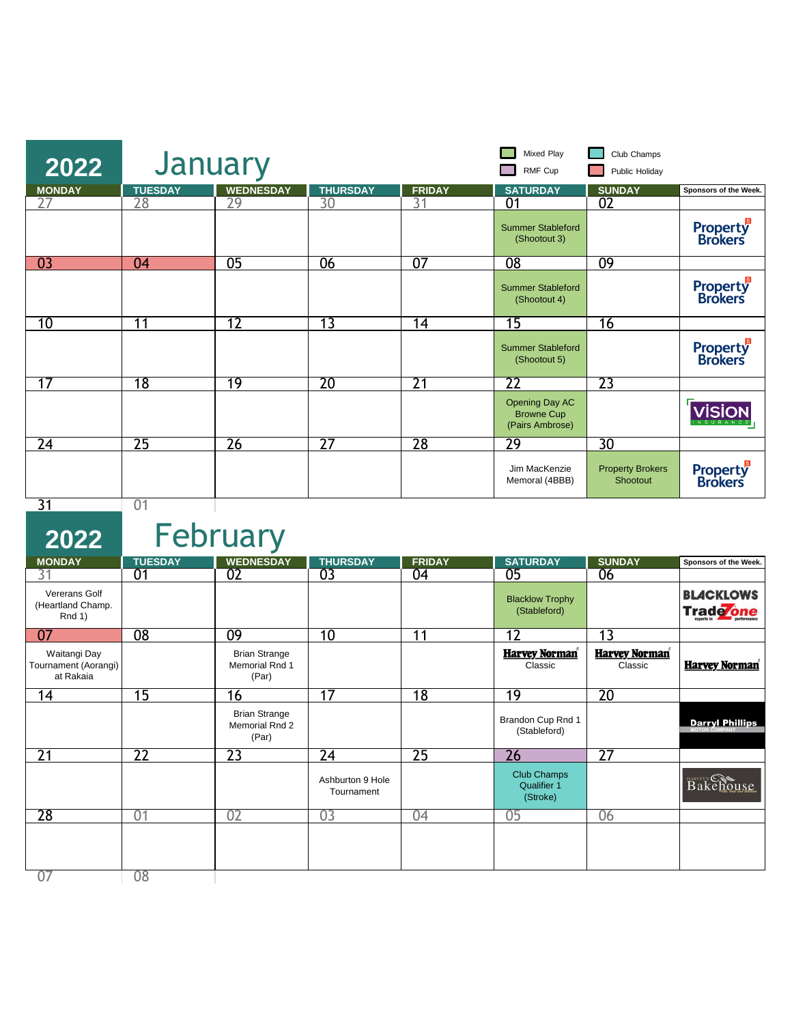| 2022            | January              |                  |                 |                 | Mixed Play<br>RMF Cup                                         | Club Champs<br>Public Holiday       |                            |
|-----------------|----------------------|------------------|-----------------|-----------------|---------------------------------------------------------------|-------------------------------------|----------------------------|
| <b>MONDAY</b>   | <b>TUESDAY</b><br>28 | <b>WEDNESDAY</b> | <b>THURSDAY</b> | FRIDAY<br>31    | <b>SATURDAY</b><br>$\overline{01}$                            | <b>SUNDAY</b>                       | Sponsors of the Week.      |
| 27              |                      | 29               | 30              |                 | <b>Summer Stableford</b><br>(Shootout 3)                      | 02                                  | <b>Property</b><br>Brokers |
| 03              | 04                   | 0 <sub>5</sub>   | 06              | 07              | 08                                                            | 09                                  |                            |
|                 |                      |                  |                 |                 | <b>Summer Stableford</b><br>(Shootout 4)                      |                                     | <b>Property</b><br>Brokers |
| 10              | 11                   | $\overline{12}$  | 13              | 14              | 15                                                            | 16                                  |                            |
|                 |                      |                  |                 |                 | <b>Summer Stableford</b><br>(Shootout 5)                      |                                     | <b>Property</b><br>Brokers |
| 17              | 18                   | 19               | 20              | $\overline{21}$ | 22                                                            | 23                                  |                            |
|                 |                      |                  |                 |                 | <b>Opening Day AC</b><br><b>Browne Cup</b><br>(Pairs Ambrose) |                                     | /İSİ                       |
| 24              | 25                   | 26               | $\overline{27}$ | 28              | 29                                                            | 30                                  |                            |
|                 |                      |                  |                 |                 | Jim MacKenzie<br>Memoral (4BBB)                               | <b>Property Brokers</b><br>Shootout | <b>Property</b><br>Brokers |
| $\overline{31}$ | 01                   |                  |                 |                 |                                                               |                                     |                            |

I

**2022** February

| <b>MONDAY</b>                                       | <b>TUESDAY</b>  | <b>WEDNESDAY</b>                                       | <b>THURSDAY</b>                | <b>FRIDAY</b> | <b>SATURDAY</b>                                      | <b>SUNDAY</b>                   | Sponsors of the Week.                         |
|-----------------------------------------------------|-----------------|--------------------------------------------------------|--------------------------------|---------------|------------------------------------------------------|---------------------------------|-----------------------------------------------|
| 31                                                  | 01              | 02                                                     | 03                             | 04            | 05                                                   | 06                              |                                               |
| <b>Vererans Golf</b><br>(Heartland Champ.<br>Rnd 1) |                 |                                                        |                                |               | <b>Blacklow Trophy</b><br>(Stableford)               |                                 | <b>BLACKLOWS</b><br>Trade one                 |
| 07                                                  | 08              | 09                                                     | 10                             | 11            | 12                                                   | 13                              |                                               |
| Waitangi Day<br>Tournament (Aorangi)<br>at Rakaia   |                 | <b>Brian Strange</b><br><b>Memorial Rnd 1</b><br>(Par) |                                |               | <b>Harvey Norman</b><br>Classic                      | <b>Harvey Norman</b><br>Classic | <b>Harvey Norman</b>                          |
| 14                                                  | 15              | 16                                                     | 17                             | 18            | 19                                                   | 20                              |                                               |
|                                                     |                 | <b>Brian Strange</b><br>Memorial Rnd 2<br>(Par)        |                                |               | Brandon Cup Rnd 1<br>(Stableford)                    |                                 | <b>Darryl Phillips</b><br><b>MOTOR COMPAN</b> |
| 21                                                  | $\overline{22}$ | 23                                                     | 24                             | 25            | 26                                                   | $\overline{27}$                 |                                               |
|                                                     |                 |                                                        | Ashburton 9 Hole<br>Tournament |               | <b>Club Champs</b><br><b>Qualifier 1</b><br>(Stroke) |                                 | <b>Bakehouse</b>                              |
| 28                                                  | $\overline{01}$ | 0 <sup>2</sup>                                         | 03                             | 04            | 05                                                   | 06                              |                                               |
| 07                                                  | 08              |                                                        |                                |               |                                                      |                                 |                                               |
|                                                     |                 |                                                        |                                |               |                                                      |                                 |                                               |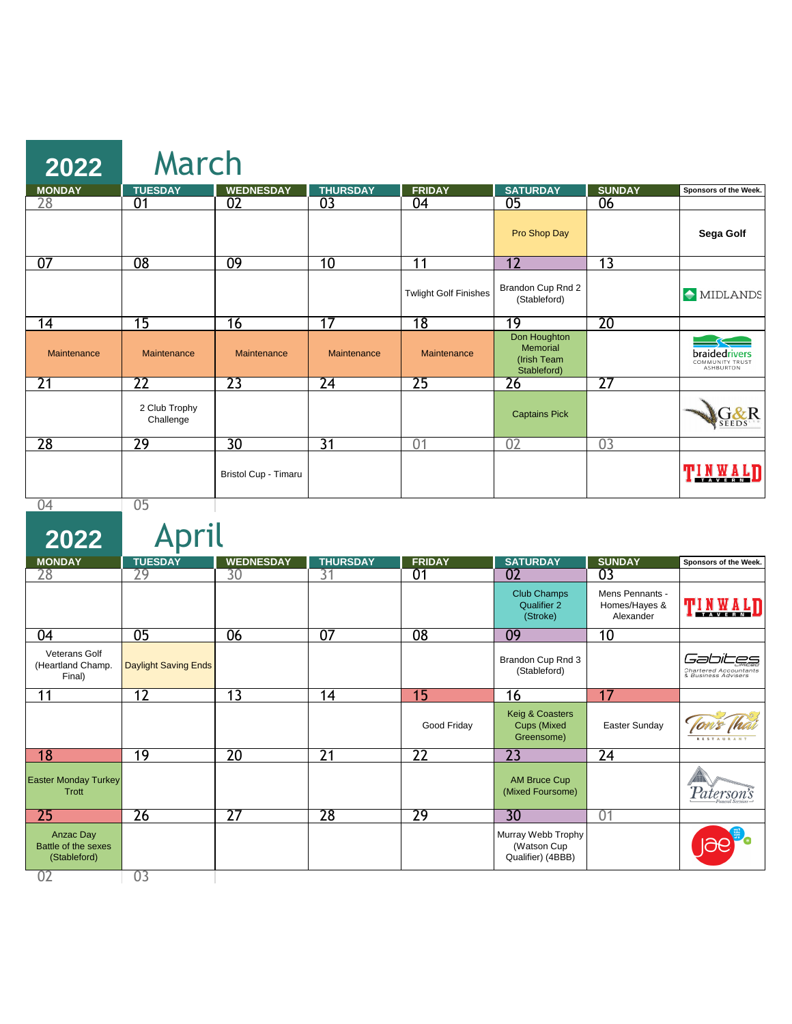| 2022            | March                      |                      |                 |                              |                                                               |                 |                                                             |
|-----------------|----------------------------|----------------------|-----------------|------------------------------|---------------------------------------------------------------|-----------------|-------------------------------------------------------------|
| <b>MONDAY</b>   | <b>TUESDAY</b>             | <b>WEDNESDAY</b>     | <b>THURSDAY</b> | <b>FRIDAY</b>                | <b>SATURDAY</b>                                               | <b>SUNDAY</b>   | Sponsors of the Week.                                       |
| 28              | $\overline{01}$            | 02                   | 0 <sub>3</sub>  | $\overline{04}$              | $\overline{05}$                                               | 06              |                                                             |
|                 |                            |                      |                 |                              | Pro Shop Day                                                  |                 | <b>Sega Golf</b>                                            |
| 07              | $\overline{08}$            | 09                   | 10              | $\overline{11}$              | $\overline{12}$                                               | $\overline{13}$ |                                                             |
|                 |                            |                      |                 | <b>Twlight Golf Finishes</b> | Brandon Cup Rnd 2<br>(Stableford)                             |                 | $\Leftrightarrow$ MIDLANDS                                  |
| $\overline{14}$ | $\overline{15}$            | $\overline{16}$      | $\overline{17}$ | 18                           | 19                                                            | 20              |                                                             |
| Maintenance     | Maintenance                | Maintenance          | Maintenance     | Maintenance                  | Don Houghton<br><b>Memorial</b><br>(Irish Team<br>Stableford) |                 | <b>braidedrivers</b><br>COMMUNITY TRUS'<br><b>ASHBURTON</b> |
| $\overline{21}$ | $\overline{22}$            | 23                   | $\overline{24}$ | $\overline{25}$              | 26                                                            | $\overline{27}$ |                                                             |
|                 | 2 Club Trophy<br>Challenge |                      |                 |                              | <b>Captains Pick</b>                                          |                 | <b>SEEDS</b>                                                |
| 28              | 29                         | 30                   | $\overline{31}$ | 01                           | 02                                                            | 03              |                                                             |
|                 |                            | Bristol Cup - Timaru |                 |                              |                                                               |                 | TINWALI                                                     |
| 04              | 0 <sub>5</sub>             |                      |                 |                              |                                                               |                 |                                                             |

**2022** April

| <b>MONDAY</b>                                           | <b>TUESDAY</b>              | <b>WEDNESDAY</b> | <b>THURSDAY</b> | <b>FRIDAY</b>   | <b>SATURDAY</b>                                        | <b>SUNDAY</b>                                 | Sponsors of the Week.                                                    |
|---------------------------------------------------------|-----------------------------|------------------|-----------------|-----------------|--------------------------------------------------------|-----------------------------------------------|--------------------------------------------------------------------------|
| 28                                                      | 29                          | 30               | 31              | 01              | 02                                                     | 03                                            |                                                                          |
|                                                         |                             |                  |                 |                 | <b>Club Champs</b><br><b>Qualifier 2</b><br>(Stroke)   | Mens Pennants -<br>Homes/Hayes &<br>Alexander |                                                                          |
| 04                                                      | $\overline{05}$             | 06               | $\overline{07}$ | 08              | 09                                                     | 10                                            |                                                                          |
| <b>Veterans Golf</b><br>(Heartland Champ.<br>Final)     | <b>Daylight Saving Ends</b> |                  |                 |                 | Brandon Cup Rnd 3<br>(Stableford)                      |                                               | كانطاص<br>−−<br><i>Chartered Accountants<br/>&amp; Business Advisers</i> |
| 11                                                      | 12                          | 13               | 14              | 15              | 16                                                     | 17                                            |                                                                          |
|                                                         |                             |                  |                 | Good Friday     | Keig & Coasters<br><b>Cups (Mixed)</b><br>Greensome)   | Easter Sunday                                 |                                                                          |
| <b>18</b>                                               | 19                          | 20               | $\overline{21}$ | $\overline{22}$ | 23                                                     | $\overline{24}$                               |                                                                          |
| <b>Easter Monday Turkey</b><br>Trott                    |                             |                  |                 |                 | <b>AM Bruce Cup</b><br>(Mixed Foursome)                |                                               |                                                                          |
| 25                                                      | $\overline{26}$             | 27               | 28              | 29              | 30 <sup>°</sup>                                        | 0 <sub>1</sub>                                |                                                                          |
| <b>Anzac Day</b><br>Battle of the sexes<br>(Stableford) |                             |                  |                 |                 | Murray Webb Trophy<br>(Watson Cup<br>Qualifier) (4BBB) |                                               |                                                                          |
| 02                                                      | 03                          |                  |                 |                 |                                                        |                                               |                                                                          |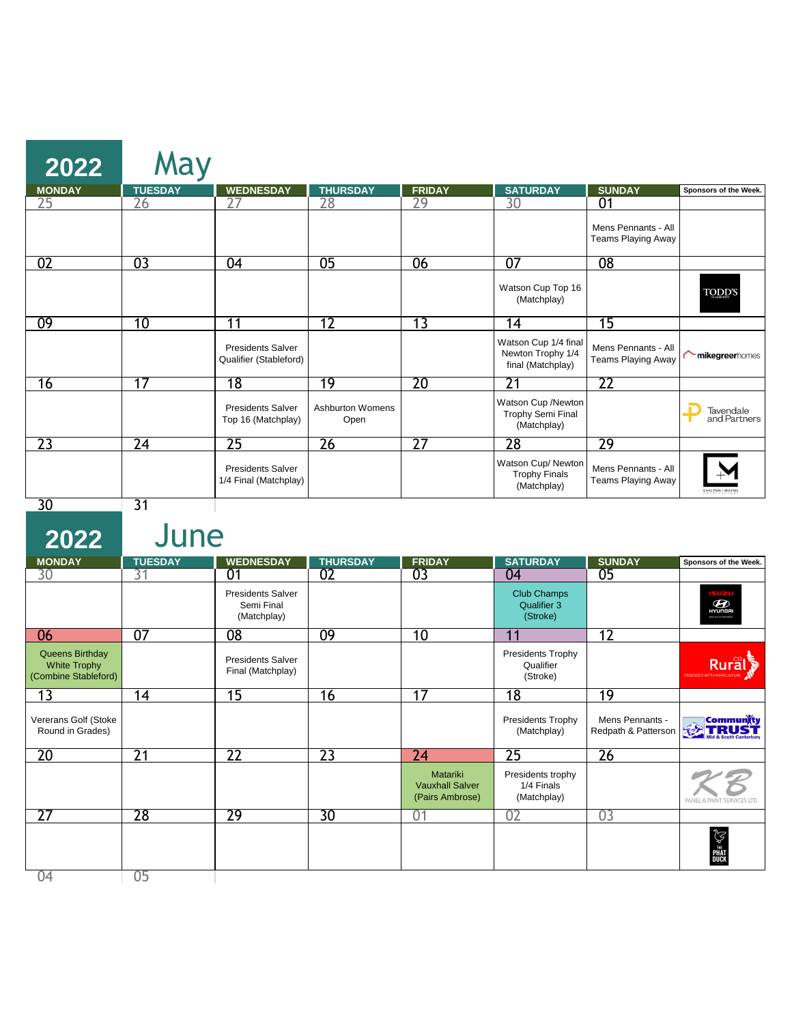| 2022          | May             |                                                    |                                 |                 |                                                                |                                                  |                           |
|---------------|-----------------|----------------------------------------------------|---------------------------------|-----------------|----------------------------------------------------------------|--------------------------------------------------|---------------------------|
| <b>MONDAY</b> | <b>TUESDAY</b>  | <b>WEDNESDAY</b>                                   | <b>THURSDAY</b>                 | <b>FRIDAY</b>   | <b>SATURDAY</b>                                                | <b>SUNDAY</b>                                    | Sponsors of the Week.     |
| 25            | 26              | 27                                                 | 28                              | 29              | 30                                                             | 01                                               |                           |
|               |                 |                                                    |                                 |                 |                                                                | Mens Pennants - All<br><b>Teams Playing Away</b> |                           |
| 02            | 0 <sup>3</sup>  | 04                                                 | 0 <sub>5</sub>                  | 06              | $\overline{07}$                                                | 08                                               |                           |
|               |                 |                                                    |                                 |                 | Watson Cup Top 16<br>(Matchplay)                               |                                                  | <b>TODD'S</b>             |
| 09            | 10              | 11                                                 | 12                              | 13              | 14                                                             | 15                                               |                           |
|               |                 | <b>Presidents Salver</b><br>Qualifier (Stableford) |                                 |                 | Watson Cup 1/4 final<br>Newton Trophy 1/4<br>final (Matchplay) | Mens Pennants - All<br><b>Teams Playing Away</b> | mikegreerhomes            |
| 16            | $\overline{17}$ | 18                                                 | 19                              | 20              | $\overline{21}$                                                | $\overline{22}$                                  |                           |
|               |                 | <b>Presidents Salver</b><br>Top 16 (Matchplay)     | <b>Ashburton Womens</b><br>Open |                 | Watson Cup /Newton<br><b>Trophy Semi Final</b><br>(Matchplay)  |                                                  | Tavendale<br>and Partners |
| 23            | $\overline{24}$ | 25                                                 | 26                              | $\overline{27}$ | 28                                                             | 29                                               |                           |
|               |                 | <b>Presidents Salver</b><br>1/4 Final (Matchplay)  |                                 |                 | Watson Cup/Newton<br><b>Trophy Finals</b><br>(Matchplay)       | Mens Pennants - All<br><b>Teams Playing Away</b> | CHILTON + MAYNE           |
| 30            | $\overline{31}$ |                                                    |                                 |                 |                                                                |                                                  |                           |

**2022** June

| <b>MONDAY</b>                                                  | <b>TUESDAY</b>  | <b>WEDNESDAY</b>                                      | <b>THURSDAY</b> | <b>FRIDAY</b>                                         | <b>SATURDAY</b>                                      | <b>SUNDAY</b>                          | Sponsors of the Week.                     |
|----------------------------------------------------------------|-----------------|-------------------------------------------------------|-----------------|-------------------------------------------------------|------------------------------------------------------|----------------------------------------|-------------------------------------------|
| 30                                                             | 31              | 01                                                    | 02              | 03                                                    | 04                                                   | 05                                     |                                           |
|                                                                |                 | <b>Presidents Salver</b><br>Semi Final<br>(Matchplay) |                 |                                                       | <b>Club Champs</b><br><b>Qualifier 3</b><br>(Stroke) |                                        | <b>ISUZU</b><br>$\mathbf{Q}$              |
| 06                                                             | $\overline{07}$ | 08                                                    | 09              | 10                                                    | 11                                                   | 12                                     |                                           |
| Queens Birthday<br><b>White Trophy</b><br>(Combine Stableford) |                 | <b>Presidents Salver</b><br>Final (Matchplay)         |                 |                                                       | Presidents Trophy<br>Qualifier<br>(Stroke)           |                                        | Rural<br><b>OBSESSED WITH AGRICULTURE</b> |
| 13                                                             | 14              | 15                                                    | 16              | $\overline{17}$                                       | 18                                                   | 19                                     |                                           |
| Vererans Golf (Stoke<br>Round in Grades)                       |                 |                                                       |                 |                                                       | Presidents Trophy<br>(Matchplay)                     | Mens Pennants -<br>Redpath & Patterson | Commun)(ty<br><b>TRUST</b>                |
| 20                                                             | $\overline{21}$ | $\overline{22}$                                       | $\overline{23}$ | $\overline{24}$                                       | 25                                                   | 26                                     |                                           |
|                                                                |                 |                                                       |                 | Matariki<br><b>Vauxhall Salver</b><br>(Pairs Ambrose) | Presidents trophy<br>1/4 Finals<br>(Matchplay)       |                                        | PANEL & PAINT SERVICES LTD                |
| 27                                                             | 28              | 29                                                    | 30              | 01                                                    | 02                                                   | 0 <sub>3</sub>                         |                                           |
|                                                                |                 |                                                       |                 |                                                       |                                                      |                                        | <b>PHAT</b><br>PHAT<br>DUCK               |
| 04                                                             | 05              |                                                       |                 |                                                       |                                                      |                                        |                                           |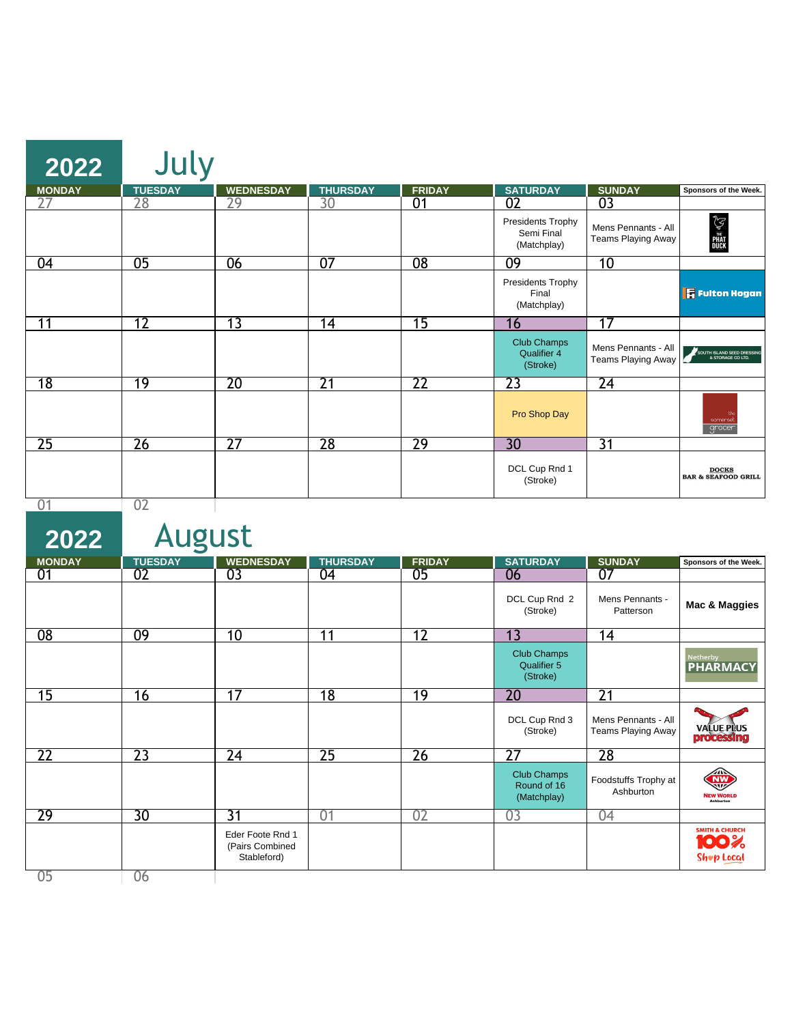| 2022          | July            |                  |                 |                 |                                                       |                                           |                                                 |
|---------------|-----------------|------------------|-----------------|-----------------|-------------------------------------------------------|-------------------------------------------|-------------------------------------------------|
| <b>MONDAY</b> | <b>TUESDAY</b>  | <b>WEDNESDAY</b> | <b>THURSDAY</b> | <b>FRIDAY</b>   | <b>SATURDAY</b>                                       | <b>SUNDAY</b>                             | Sponsors of the Week.                           |
| 27            | 28              | 29               | 30              | 01              | 02                                                    | 03                                        |                                                 |
|               |                 |                  |                 |                 | <b>Presidents Trophy</b><br>Semi Final<br>(Matchplay) | Mens Pennants - All<br>Teams Playing Away | <b>PHAT</b><br>PHAT<br>DUCK                     |
| 04            | 05              | 06               | $\overline{07}$ | 08              | 09                                                    | 10                                        |                                                 |
|               |                 |                  |                 |                 | <b>Presidents Trophy</b><br>Final<br>(Matchplay)      |                                           | <b>F</b> Fulton Hogan                           |
| 11            | $\overline{12}$ | $\overline{13}$  | $\overline{14}$ | $\overline{15}$ | 16                                                    | $\overline{17}$                           |                                                 |
|               |                 |                  |                 |                 | <b>Club Champs</b><br><b>Qualifier 4</b><br>(Stroke)  | Mens Pennants - All<br>Teams Playing Away | SOUTH ISLAND SEED DRESSING<br>& STORAGE CO LTD. |
| 18            | 19              | 20               | 21              | 22              | 23                                                    | 24                                        |                                                 |
|               |                 |                  |                 |                 | Pro Shop Day                                          |                                           | somersel<br>grocer                              |
| 25            | $\overline{26}$ | $\overline{27}$  | 28              | 29              | 30                                                    | $\overline{31}$                           |                                                 |
|               |                 |                  |                 |                 | DCL Cup Rnd 1<br>(Stroke)                             |                                           | <b>DOCKS</b><br><b>BAR &amp; SEAFOOD GRILL</b>  |

01 02

**2022** August

| <b>MONDAY</b>   | <b>TUESDAY</b> | <b>WEDNESDAY</b>                                   | <b>THURSDAY</b> | <b>FRIDAY</b>   | <b>SATURDAY</b>                                      | <b>SUNDAY</b>                             | Sponsors of the Week.                                           |
|-----------------|----------------|----------------------------------------------------|-----------------|-----------------|------------------------------------------------------|-------------------------------------------|-----------------------------------------------------------------|
| 01              | 02             | 03                                                 | 04              | 05              | 06                                                   | 07                                        |                                                                 |
|                 |                |                                                    |                 |                 | DCL Cup Rnd 2<br>(Stroke)                            | Mens Pennants -<br>Patterson              | <b>Mac &amp; Maggies</b>                                        |
| 08              | 09             | 10                                                 | 11              | 12              | 13                                                   | 14                                        |                                                                 |
|                 |                |                                                    |                 |                 | <b>Club Champs</b><br><b>Qualifier 5</b><br>(Stroke) |                                           | Netherby<br><b>PHARMACY</b>                                     |
| $\overline{15}$ | 16             | $\overline{17}$                                    | 18              | 19              | 20                                                   | $\overline{21}$                           |                                                                 |
|                 |                |                                                    |                 |                 | DCL Cup Rnd 3<br>(Stroke)                            | Mens Pennants - All<br>Teams Playing Away | <b>VALUE PRUS</b><br><b>processing</b>                          |
| 22              | 23             | $\overline{24}$                                    | $\overline{25}$ | $\overline{26}$ | $\overline{27}$                                      | 28                                        |                                                                 |
|                 |                |                                                    |                 |                 | <b>Club Champs</b><br>Round of 16<br>(Matchplay)     | Foodstuffs Trophy at<br>Ashburton         | $\sqrt{M}$<br><b>NW</b><br><b>NEW WORLD</b><br><b>Ashburton</b> |
| 29              | 30             | $\overline{31}$                                    | 01              | 02              | 03                                                   | 04                                        |                                                                 |
|                 |                | Eder Foote Rnd 1<br>(Pairs Combined<br>Stableford) |                 |                 |                                                      |                                           | <b>SMITH &amp; CHURCH</b><br>100%<br>Shop Local                 |
| 05              | 06             |                                                    |                 |                 |                                                      |                                           |                                                                 |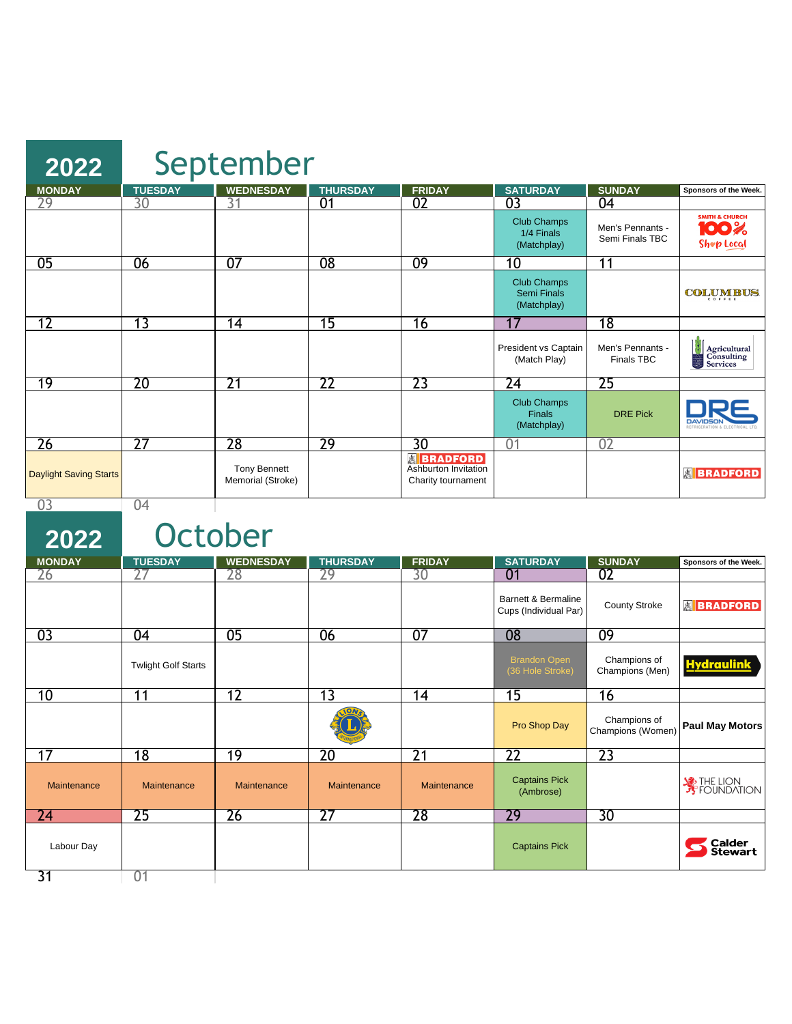| 2022                          | September      |                                          |                 |                                                                      |                                                         |                                       |                                                         |  |  |
|-------------------------------|----------------|------------------------------------------|-----------------|----------------------------------------------------------------------|---------------------------------------------------------|---------------------------------------|---------------------------------------------------------|--|--|
| <b>MONDAY</b>                 | <b>TUESDAY</b> | <b>WEDNESDAY</b>                         | <b>THURSDAY</b> | <b>FRIDAY</b>                                                        | <b>SATURDAY</b>                                         | <b>SUNDAY</b>                         | Sponsors of the Week.                                   |  |  |
| 29                            | 30             | $\overline{31}$                          | $\overline{01}$ | 02                                                                   | 0 <sub>3</sub>                                          | 04                                    |                                                         |  |  |
|                               |                |                                          |                 |                                                                      | <b>Club Champs</b><br>1/4 Finals<br>(Matchplay)         | Men's Pennants -<br>Semi Finals TBC   | <b>SMITH &amp; CHURCH</b><br>100%<br>Shop Local         |  |  |
| 05                            | 06             | 07                                       | 08              | 09                                                                   | 10                                                      | 11                                    |                                                         |  |  |
|                               |                |                                          |                 |                                                                      | <b>Club Champs</b><br><b>Semi Finals</b><br>(Matchplay) |                                       | <b>COLUMBUS</b>                                         |  |  |
| 12                            | 13             | 14                                       | 15              | 16                                                                   | 17                                                      | 18                                    |                                                         |  |  |
|                               |                |                                          |                 |                                                                      | President vs Captain<br>(Match Play)                    | Men's Pennants -<br><b>Finals TBC</b> | Agricultural<br>Consulting<br>Services<br>$\frac{1}{3}$ |  |  |
| 19                            | 20             | $\overline{21}$                          | $\overline{22}$ | $\overline{23}$                                                      | $\overline{24}$                                         | $\overline{25}$                       |                                                         |  |  |
|                               |                |                                          |                 |                                                                      | <b>Club Champs</b><br><b>Finals</b><br>(Matchplay)      | <b>DRE Pick</b>                       | <b>DAVIDSO</b>                                          |  |  |
| 26                            | 27             | 28                                       | 29              | 30                                                                   | 01                                                      | 0 <sup>2</sup>                        |                                                         |  |  |
| <b>Daylight Saving Starts</b> |                | <b>Tony Bennett</b><br>Memorial (Stroke) |                 | <b>BRADFORD</b><br><b>Ashburton Invitation</b><br>Charity tournament |                                                         |                                       | <b>SEADFORD</b>                                         |  |  |
| 03                            | 04             |                                          |                 |                                                                      |                                                         |                                       |                                                         |  |  |

I

**2022** October

| <b>MONDAY</b> | <b>TUESDAY</b>             | <b>WEDNESDAY</b> | <b>THURSDAY</b> | <b>FRIDAY</b>   | <b>SATURDAY</b>                                         | <b>SUNDAY</b>                     | Sponsors of the Week.     |
|---------------|----------------------------|------------------|-----------------|-----------------|---------------------------------------------------------|-----------------------------------|---------------------------|
| 26            | $\overline{27}$            | 28               | 29              | 30              | 01                                                      | 02                                |                           |
|               |                            |                  |                 |                 | <b>Barnett &amp; Bermaline</b><br>Cups (Individual Par) | <b>County Stroke</b>              | <b>NBRADFORD</b>          |
| 03            | 04                         | $\overline{05}$  | 06              | 07              | 08                                                      | 09                                |                           |
|               | <b>Twlight Golf Starts</b> |                  |                 |                 | <b>Brandon Open</b><br>(36 Hole Stroke)                 | Champions of<br>Champions (Men)   | <b>Hydraulink</b>         |
| 10            | 11                         | 12               | 13              | 14              | 15                                                      | 16                                |                           |
|               |                            |                  |                 |                 | Pro Shop Day                                            | Champions of<br>Champions (Women) | Paul May Motors           |
| 17            | 18                         | 19               | 20              | $\overline{21}$ | 22                                                      | $\overline{23}$                   |                           |
| Maintenance   | Maintenance                | Maintenance      | Maintenance     | Maintenance     | <b>Captains Pick</b><br>(Ambrose)                       |                                   | <b>SETHE LION</b>         |
| 24            | 25                         | 26               | $\overline{27}$ | 28              | 29                                                      | 30                                |                           |
| Labour Day    |                            |                  |                 |                 | <b>Captains Pick</b>                                    |                                   | <b>Calder<br/>Stewart</b> |
| 31            | 01                         |                  |                 |                 |                                                         |                                   |                           |